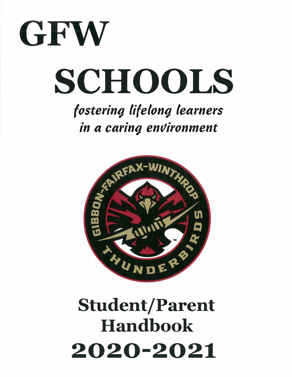

# **SCHOOLS**

*f osterin9- Ii( elon9- learners*  in a caring environment



## Student/Parent Handbook **2020-2021**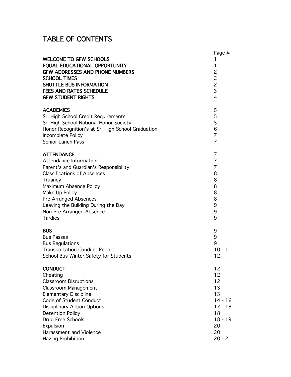## TABLE OF CONTENTS

| <b>WELCOME TO GFW SCHOOLS</b><br>EQUAL EDUCATIONAL OPPORTUNITY<br><b>GFW ADDRESSES AND PHONE NUMBERS</b><br><b>SCHOOL TIMES</b><br>SHUTTLE BUS INFORMATION<br><b>FEES AND RATES SCHEDULE</b><br><b>GFW STUDENT RIGHTS</b> | Page #<br>1<br>1<br>$\overline{c}$<br>$\overline{c}$<br>$\overline{c}$<br>3<br>$\overline{4}$ |
|---------------------------------------------------------------------------------------------------------------------------------------------------------------------------------------------------------------------------|-----------------------------------------------------------------------------------------------|
| <b>ACADEMICS</b>                                                                                                                                                                                                          | 5                                                                                             |
| Sr. High School Credit Requirements                                                                                                                                                                                       | 5                                                                                             |
| Sr. High School National Honor Society                                                                                                                                                                                    | 5                                                                                             |
| Honor Recognition's at Sr. High School Graduation                                                                                                                                                                         | 6                                                                                             |
| Incomplete Policy                                                                                                                                                                                                         | $\overline{7}$                                                                                |
| Senior Lunch Pass                                                                                                                                                                                                         | $\overline{7}$                                                                                |
| <b>ATTENDANCE</b>                                                                                                                                                                                                         | 7                                                                                             |
| Attendance Information                                                                                                                                                                                                    | $\overline{7}$                                                                                |
| Parent's and Guardian's Responsibility                                                                                                                                                                                    | 7                                                                                             |
| <b>Classifications of Absences</b>                                                                                                                                                                                        | 8                                                                                             |
| Truancy                                                                                                                                                                                                                   | 8                                                                                             |
| Maximum Absence Policy                                                                                                                                                                                                    | 8                                                                                             |
| Make Up Policy                                                                                                                                                                                                            | 8                                                                                             |
| <b>Pre-Arranged Absences</b>                                                                                                                                                                                              | 8                                                                                             |
| Leaving the Building During the Day                                                                                                                                                                                       | 9                                                                                             |
| Non-Pre Arranged Absence                                                                                                                                                                                                  | 9                                                                                             |
| <b>Tardies</b>                                                                                                                                                                                                            | 9                                                                                             |
| <b>BUS</b>                                                                                                                                                                                                                | 9                                                                                             |
| <b>Bus Passes</b>                                                                                                                                                                                                         | 9                                                                                             |
| <b>Bus Regulations</b>                                                                                                                                                                                                    | 9                                                                                             |
| <b>Transportation Conduct Report</b>                                                                                                                                                                                      | $10 - 11$                                                                                     |
| School Bus Winter Safety for Students                                                                                                                                                                                     | 12                                                                                            |
| <b>CONDUCT</b>                                                                                                                                                                                                            | 12                                                                                            |
| Cheating                                                                                                                                                                                                                  | 12                                                                                            |
| <b>Classroom Disruptions</b>                                                                                                                                                                                              | 12                                                                                            |
| Classroom Management                                                                                                                                                                                                      | 13                                                                                            |
| <b>Elementary Discipline</b>                                                                                                                                                                                              | 13                                                                                            |
| Code of Student Conduct                                                                                                                                                                                                   | $14 - 16$                                                                                     |
| <b>Disciplinary Action Options</b>                                                                                                                                                                                        | $17 - 18$                                                                                     |
| <b>Detention Policy</b>                                                                                                                                                                                                   | 18                                                                                            |
| Drug Free Schools                                                                                                                                                                                                         | $18 - 19$                                                                                     |
| Expulsion                                                                                                                                                                                                                 | 20                                                                                            |
| Harassment and Violence                                                                                                                                                                                                   | 20                                                                                            |
| Hazing Prohibition                                                                                                                                                                                                        | $20 - 21$                                                                                     |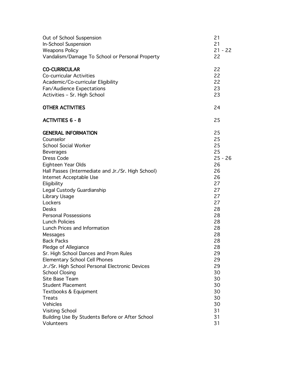| Out of School Suspension                           | 21        |
|----------------------------------------------------|-----------|
| In-School Suspension                               | 21        |
| <b>Weapons Policy</b>                              | $21 - 22$ |
| Vandalism/Damage To School or Personal Property    | 22        |
| <b>CO-CURRICULAR</b>                               | 22        |
| <b>Co-curricular Activities</b>                    | 22        |
| Academic/Co-curricular Eligibility                 | 22        |
| Fan/Audience Expectations                          | 23        |
| Activities - Sr. High School                       | 23        |
| <b>OTHER ACTIVITIES</b>                            | 24        |
| <b>ACTIVITIES 6 - 8</b>                            | 25        |
| <b>GENERAL INFORMATION</b>                         | 25        |
| Counselor                                          | 25        |
| <b>School Social Worker</b>                        | 25        |
| <b>Beverages</b>                                   | 25        |
| Dress Code                                         | $25 - 26$ |
| Eighteen Year Olds                                 | 26        |
| Hall Passes (Intermediate and Jr./Sr. High School) | 26        |
| Internet Acceptable Use                            | 26        |
| Eligibility                                        | 27        |
| Legal Custody Guardianship                         | 27        |
| Library Usage                                      | 27        |
| Lockers                                            | 27        |
| <b>Desks</b>                                       | 28        |
| <b>Personal Possessions</b>                        | 28<br>28  |
| <b>Lunch Policies</b>                              | 28        |
| Lunch Prices and Information                       | 28        |
| Messages<br><b>Back Packs</b>                      | 28        |
| Pledge of Allegiance                               | 28        |
| Sr. High School Dances and Prom Rules              | 29        |
| Elementary School Cell Phones                      | 29        |
| Jr./Sr. High School Personal Electronic Devices    | 29        |
| <b>School Closing</b>                              | 30        |
| Site Base Team                                     | 30        |
| <b>Student Placement</b>                           | 30        |
| Textbooks & Equipment                              | 30        |
| Treats                                             | 30        |
| Vehicles                                           | 30        |
| <b>Visiting School</b>                             | 31        |
| Building Use By Students Before or After School    | 31        |
| Volunteers                                         | 31        |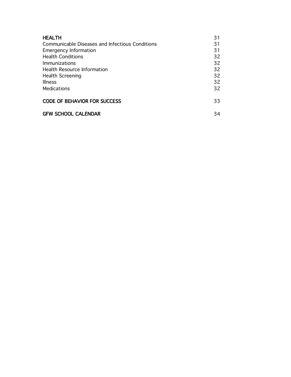| <b>HEALTH</b>                                   | 31 |
|-------------------------------------------------|----|
| Communicable Diseases and Infectious Conditions | 31 |
| <b>Emergency Information</b>                    | 31 |
| <b>Health Conditions</b>                        | 32 |
| Immunizations                                   | 32 |
| <b>Health Resource Information</b>              | 32 |
| <b>Health Screening</b>                         | 32 |
| <b>Illness</b>                                  | 32 |
| Medications                                     | 32 |
| <b>CODE OF BEHAVIOR FOR SUCCESS</b>             | 33 |
| <b>GFW SCHOOL CALENDAR</b>                      | 34 |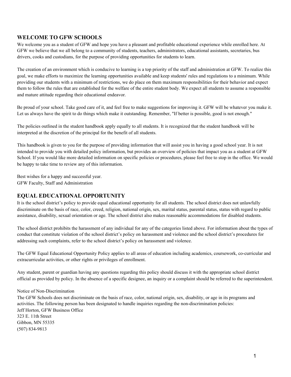#### **WELCOME TO GFW SCHOOLS**

We welcome you as a student of GFW and hope you have a pleasant and profitable educational experience while enrolled here. At GFW we believe that we all belong to a community of students, teachers, administrators, educational assistants, secretaries, bus drivers, cooks and custodians, for the purpose of providing opportunities for students to learn.

The creation of an environment which is conducive to learning is a top priority of the staff and administration at GFW. To realize this goal, we make efforts to maximize the learning opportunities available and keep students' rules and regulations to a minimum. While providing our students with a minimum of restrictions, we do place on them maximum responsibilities for their behavior and expect them to follow the rules that are established for the welfare of the entire student body. We expect all students to assume a responsible and mature attitude regarding their educational endeavor.

Be proud of your school. Take good care of it, and feel free to make suggestions for improving it. GFW will be whatever you make it. Let us always have the spirit to do things which make it outstanding. Remember, "If better is possible, good is not enough."

The policies outlined in the student handbook apply equally to all students. It is recognized that the student handbook will be interpreted at the discretion of the principal for the benefit of all students.

This handbook is given to you for the purpose of providing information that will assist you in having a good school year. It is not intended to provide you with detailed policy information, but provides an overview of policies that impact you as a student at GFW School. If you would like more detailed information on specific policies or procedures, please feel free to stop in the office. We would be happy to take time to review any of this information.

Best wishes for a happy and successful year. GFW Faculty, Staff and Administration

#### **EQUAL EDUCATIONAL OPPORTUNITY**

It is the school district's policy to provide equal educational opportunity for all students. The school district does not unlawfully discriminate on the basis of race, color, creed, religion, national origin, sex, marital status, parental status, status with regard to public assistance, disability, sexual orientation or age. The school district also makes reasonable accommodations for disabled students.

The school district prohibits the harassment of any individual for any of the categories listed above. For information about the types of conduct that constitute violation of the school district's policy on harassment and violence and the school district's procedures for addressing such complaints, refer to the school district's policy on harassment and violence.

The GFW Equal Educational Opportunity Policy applies to all areas of education including academics, coursework, co-curricular and extracurricular activities, or other rights or privileges of enrollment.

Any student, parent or guardian having any questions regarding this policy should discuss it with the appropriate school district official as provided by policy. In the absence of a specific designee, an inquiry or a complaint should be referred to the superintendent.

#### Notice of Non-Discrimination

The GFW Schools does not discriminate on the basis of race, color, national origin, sex, disability, or age in its programs and activities. The following person has been designated to handle inquiries regarding the non-discrimination policies: Jeff Horton, GFW Business Office 323 E. 11th Street Gibbon, MN 55335 (507) 834-9813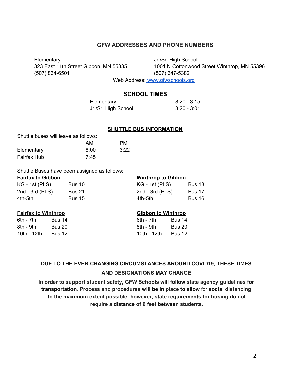#### **GFW ADDRESSES AND PHONE NUMBERS**

Elementary Jr./Sr. High School (507) 834-6501 (507) 647-5382

323 East 11th Street Gibbon, MN 55335 1001 N Cottonwood Street Winthrop, MN 55396

Web Address: [www.gfwschools.org](http://www.gfwschools.org/)

#### **SCHOOL TIMES**

| Elementary          | $8:20 - 3:15$ |
|---------------------|---------------|
| Jr./Sr. High School | 8:20 - 3:01   |

#### **SHUTTLE BUS INFORMATION**

| Shuttle buses will leave as follows: |      |      |
|--------------------------------------|------|------|
|                                      | AM   | PМ   |
| Elementary                           | 8:00 | 3:22 |
| Fairfax Hub                          | 7:45 |      |

Shuttle Buses have been assigned as follows:

#### **Fairfax to Gibbon Winthrop to Gibbon**

|                       |               | $\cdots$          |               |  |
|-----------------------|---------------|-------------------|---------------|--|
| KG - 1st (PLS)        | <b>Bus 10</b> | $KG - 1st (PLS)$  | Bus 18        |  |
| $2nd - 3rd$ ( $PLS$ ) | <b>Bus 21</b> | 2nd - 3rd $(PLS)$ | <b>Bus 17</b> |  |
| 4th-5th               | <b>Bus 15</b> | 4th-5th           | <b>Bus 16</b> |  |

6th - 7th Bus 14 6th - 7th Bus 14 6th - 7th 6th - 7th - 8th - 8th - 7th - 8th - 8th - 8th - 8th - 8th - 8th - 8th - 9th Bus 20 8th - 9th Bus 20 10th - 12th Bus 12 10th - 12th Bus 12

#### **Fairfax to Winthrop Gibbon to Winthrop**

| th - 7th   | <b>Bus 14</b> |
|------------|---------------|
| th - 9th   | Bus 20        |
| 0th - 12th | Bus 12        |

## **DUE TO THE EVER-CHANGING CIRCUMSTANCES AROUND COVID19, THESE TIMES AND DESIGNATIONS MAY CHANGE**

**In order to support student safety, GFW Schools will follow state agency guidelines for transportation. Process and procedures will be in place to allow** for **social distancing to the maximum extent possible; however, state requirements for busing do not require a distance of 6 feet between students.**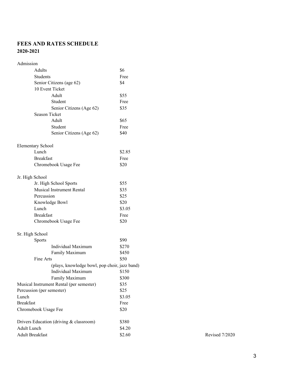#### **FEES AND RATES SCHEDULE 2020-2021**

| Admission                    |                                               |        |
|------------------------------|-----------------------------------------------|--------|
| Adults                       |                                               | \$6    |
| Students                     |                                               | Free   |
|                              | Senior Citizens (age 62)                      | \$4    |
| 10 Event Ticket              |                                               |        |
|                              | Adult                                         | \$55   |
|                              | Student                                       | Free   |
|                              | Senior Citizens (Age 62)                      | \$35   |
| <b>Season Ticket</b>         |                                               |        |
|                              | Adult                                         | \$65   |
|                              | Student                                       | Free   |
|                              | Senior Citizens (Age 62)                      | \$40   |
| <b>Elementary School</b>     |                                               |        |
| Lunch                        |                                               | \$2.85 |
| <b>Breakfast</b>             |                                               | Free   |
|                              | Chromebook Usage Fee                          | \$20   |
| Jr. High School              |                                               |        |
|                              | Jr. High School Sports                        | \$55   |
|                              | <b>Musical Instrument Rental</b>              | \$35   |
| Percussion                   |                                               | \$25   |
|                              | Knowledge Bowl                                | \$20   |
| Lunch                        |                                               | \$3.05 |
| <b>Breakfast</b>             |                                               | Free   |
|                              | Chromebook Usage Fee                          | \$20   |
| Sr. High School              |                                               |        |
| <b>Sports</b>                |                                               | \$90   |
|                              | Individual Maximum                            | \$270  |
|                              | Family Maximum                                | \$450  |
| Fine Arts                    |                                               | \$50   |
|                              | (plays, knowledge bowl, pop choir, jazz band) |        |
|                              | <b>Individual Maximum</b>                     | \$150  |
|                              | Family Maximum                                | \$300  |
|                              | Musical Instrument Rental (per semester)      | \$35   |
| Percussion (per semester)    |                                               | \$25   |
| Lunch                        |                                               | \$3.05 |
| <b>Breakfast</b>             |                                               | Free   |
| Chromebook Usage Fee         |                                               | \$20   |
|                              | Drivers Education (driving & classroom)       | \$380  |
| <b>Adult Lunch</b><br>\$4.20 |                                               |        |
| Adult Breakfast              |                                               | \$2.60 |

Revised 7/2020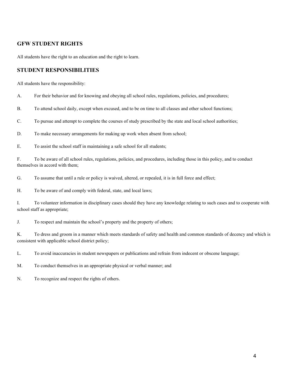#### **GFW STUDENT RIGHTS**

All students have the right to an education and the right to learn.

#### **STUDENT RESPONSIBILITIES**

All students have the responsibility:

A. For their behavior and for knowing and obeying all school rules, regulations, policies, and procedures;

B. To attend school daily, except when excused, and to be on time to all classes and other school functions;

C. To pursue and attempt to complete the courses of study prescribed by the state and local school authorities;

D. To make necessary arrangements for making up work when absent from school;

E. To assist the school staff in maintaining a safe school for all students;

F. To be aware of all school rules, regulations, policies, and procedures, including those in this policy, and to conduct themselves in accord with them;

G. To assume that until a rule or policy is waived, altered, or repealed, it is in full force and effect;

H. To be aware of and comply with federal, state, and local laws;

I. To volunteer information in disciplinary cases should they have any knowledge relating to such cases and to cooperate with school staff as appropriate;

J. To respect and maintain the school's property and the property of others;

K. To dress and groom in a manner which meets standards of safety and health and common standards of decency and which is consistent with applicable school district policy;

L. To avoid inaccuracies in student newspapers or publications and refrain from indecent or obscene language;

M. To conduct themselves in an appropriate physical or verbal manner; and

N. To recognize and respect the rights of others.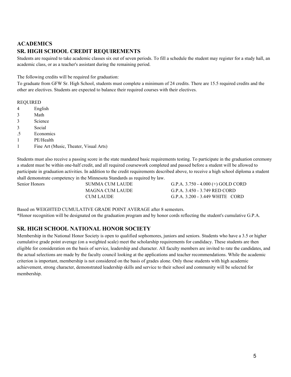### **ACADEMICS SR. HIGH SCHOOL CREDIT REQUIREMENTS**

Students are required to take academic classes six out of seven periods. To fill a schedule the student may register for a study hall, an academic class, or as a teacher's assistant during the remaining period.

The following credits will be required for graduation:

To graduate from GFW Sr. High School, students must complete a minimum of 24 credits. There are 15.5 required credits and the other are electives. Students are expected to balance their required courses with their electives.

#### REQUIRED

- 4 English
- 3 Math
- 3 Science
- 3 Social
- .5 Economics
- 1 PE/Health
- 1 Fine Art (Music, Theater, Visual Arts)

Students must also receive a passing score in the state mandated basic requirements testing. To participate in the graduation ceremony a student must be within one-half credit, and all required coursework completed and passed before a student will be allowed to participate in graduation activities. In addition to the credit requirements described above, to receive a high school diploma a student shall demonstrate competency in the Minnesota Standards as required by law.

Senior Honors SUMMA CUM LAUDE G.P.A. 3.750 - 4.000 (+) GOLD CORD MAGNA CUM LAUDE G.P.A. 3.450 - 3.749 RED CORD CUM LAUDE G.P.A. 3.200 - 3.449 WHITE CORD

Based on WEIGHTED CUMULATIVE GRADE POINT AVERAGE after 8 semesters. \*Honor recognition will be designated on the graduation program and by honor cords reflecting the student's cumulative G.P.A.

#### **SR. HIGH SCHOOL NATIONAL HONOR SOCIETY**

Membership in the National Honor Society is open to qualified sophomores, juniors and seniors. Students who have a 3.5 or higher cumulative grade point average (on a weighted scale) meet the scholarship requirements for candidacy. These students are then eligible for consideration on the basis of service, leadership and character. All faculty members are invited to rate the candidates, and the actual selections are made by the faculty council looking at the applications and teacher recommendations. While the academic criterion is important, membership is not considered on the basis of grades alone. Only those students with high academic achievement, strong character, demonstrated leadership skills and service to their school and community will be selected for membership.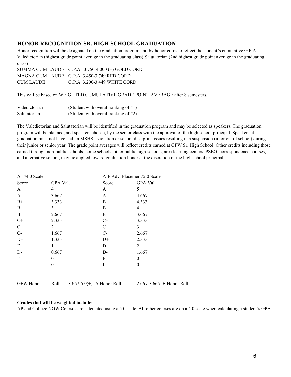#### **HONOR RECOGNITION SR. HIGH SCHOOL GRADUATION**

Honor recognition will be designated on the graduation program and by honor cords to reflect the student's cumulative G.P.A. Valedictorian (highest grade point average in the graduating class) Salutatorian (2nd highest grade point average in the graduating class)

|           | SUMMA CUM LAUDE $G.P.A. 3.750-4.000 (+) GOLD CORD$ |
|-----------|----------------------------------------------------|
|           | MAGNA CUM LAUDE G.P.A. 3.450-3.749 RED CORD        |
| CUM LAUDE | G.P.A. 3.200-3.449 WHITE CORD                      |

This will be based on WEIGHTED CUMULATIVE GRADE POINT AVERAGE after 8 semesters.

| Valedictorian | (Student with overall ranking of $#1$ ) |
|---------------|-----------------------------------------|
| Salutatorian  | (Student with overall ranking of $#2$ ) |

The Valedictorian and Salutatorian will be identified in the graduation program and may be selected as speakers. The graduation program will be planned, and speakers chosen, by the senior class with the approval of the high school principal. Speakers at graduation must not have had an MSHSL violation or school discipline issues resulting in a suspension (in or out of school) during their junior or senior year. The grade point averages will reflect credits earned at GFW Sr. High School. Other credits including those earned through non-public schools, home schools, other public high schools, area learning centers, PSEO, correspondence courses, and alternative school, may be applied toward graduation honor at the discretion of the high school principal.

| $A-F/4.0$ Scale |          | A-F Adv. Placement/5.0 Scale |          |
|-----------------|----------|------------------------------|----------|
| Score           | GPA Val. | Score                        | GPA Val. |
| $\mathbf{A}$    | 4        | A                            | 5        |
| $A-$            | 3.667    | $A-$                         | 4.667    |
| $B+$            | 3.333    | $B+$                         | 4.333    |
| $\mathbf B$     | 3        | B                            | 4        |
| $B-$            | 2.667    | B-                           | 3.667    |
| $C+$            | 2.333    | $C+$                         | 3.333    |
| $\mathbf C$     | 2        | $\mathcal{C}$                | 3        |
| $C -$           | 1.667    | $C-$                         | 2.667    |
| $D+$            | 1.333    | $D+$                         | 2.333    |
| $\mathbf D$     | 1        | D                            | 2        |
| D-              | 0.667    | $D-$                         | 1.667    |
| F               | $\theta$ | F                            | $\theta$ |
| I               | $\theta$ | I                            | 0        |
|                 |          |                              |          |

GFW Honor Roll 3.667-5.0(+)=A Honor Roll 2.667-3.666=B Honor Roll

#### **Grades that will be weighted include:**

AP and College NOW Courses are calculated using a 5.0 scale. All other courses are on a 4.0 scale when calculating a student's GPA.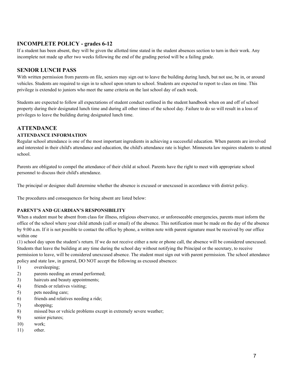#### **INCOMPLETE POLICY - grades 6-12**

If a student has been absent, they will be given the allotted time stated in the student absences section to turn in their work. Any incomplete not made up after two weeks following the end of the grading period will be a failing grade.

#### **SENIOR LUNCH PASS**

With written permission from parents on file, seniors may sign out to leave the building during lunch, but not use, be in, or around vehicles. Students are required to sign in to school upon return to school. Students are expected to report to class on time. This privilege is extended to juniors who meet the same criteria on the last school day of each week.

Students are expected to follow all expectations of student conduct outlined in the student handbook when on and off of school property during their designated lunch time and during all other times of the school day. Failure to do so will result in a loss of privileges to leave the building during designated lunch time.

#### **ATTENDANCE**

#### **ATTENDANCE INFORMATION**

Regular school attendance is one of the most important ingredients in achieving a successful education. When parents are involved and interested in their child's attendance and education, the child's attendance rate is higher. Minnesota law requires students to attend school.

Parents are obligated to compel the attendance of their child at school. Parents have the right to meet with appropriate school personnel to discuss their child's attendance.

The principal or designee shall determine whether the absence is excused or unexcused in accordance with district policy.

The procedures and consequences for being absent are listed below:

#### **PARENT'S AND GUARDIAN'S RESPONSIBILITY**

When a student must be absent from class for illness, religious observance, or unforeseeable emergencies, parents must inform the office of the school where your child attends (call or email) of the absence. This notification must be made on the day of the absence by 9:00 a.m. If it is not possible to contact the office by phone, a written note with parent signature must be received by our office within one

(1) school day upon the student's return. If we do not receive either a note or phone call, the absence will be considered unexcused. Students that leave the building at any time during the school day without notifying the Principal or the secretary, to receive permission to leave, will be considered unexcused absence. The student must sign out with parent permission. The school attendance policy and state law, in general, DO NOT accept the following as excused absences:

- 1) oversleeping;
- 2) parents needing an errand performed;
- 3) haircuts and beauty appointments;
- 4) friends or relatives visiting;
- 5) pets needing care;
- 6) friends and relatives needing a ride;
- 7) shopping;
- 8) missed bus or vehicle problems except in extremely severe weather;
- 9) senior pictures;
- 10) work;
- 11) other.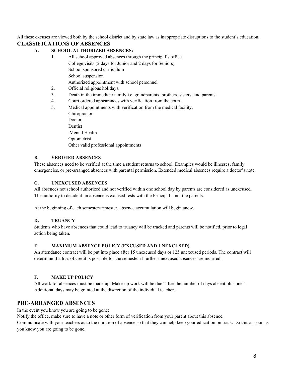All these excuses are viewed both by the school district and by state law as inappropriate disruptions to the student's education.

#### **CLASSIFICATIONS OF ABSENCES**

#### **A. SCHOOL AUTHORIZED ABSENCES:**

- 1. All school approved absences through the principal's office. College visits (2 days for Junior and 2 days for Seniors) School sponsored curriculum School suspension Authorized appointment with school personnel
	- 2. Official religious holidays.
	- 3. Death in the immediate family i.e. grandparents, brothers, sisters, and parents.
	- 4. Court ordered appearances with verification from the court.
	- 5. Medical appointments with verification from the medical facility.
	- Chiropractor Doctor Dentist Mental Health Optometrist Other valid professional appointments

#### **B. VERIFIED ABSENCES**

These absences need to be verified at the time a student returns to school. Examples would be illnesses, family emergencies, or pre-arranged absences with parental permission. Extended medical absences require a doctor's note.

#### **C. UNEXCUSED ABSENCES**

All absences not school authorized and not verified within one school day by parents are considered as unexcused. The authority to decide if an absence is excused rests with the Principal – not the parents.

At the beginning of each semester/trimester, absence accumulation will begin anew.

#### **D. TRUANCY**

Students who have absences that could lead to truancy will be tracked and parents will be notified, prior to legal action being taken.

#### **E. MAXIMUM ABSENCE POLICY (EXCUSED AND UNEXCUSED)**

An attendance contract will be put into place after 15 unexcused days or 125 unexcused periods. The contract will determine if a loss of credit is possible for the semester if further unexcused absences are incurred.

#### **F. MAKE UP POLICY**

All work for absences must be made up. Make-up work will be due "after the number of days absent plus one". Additional days may be granted at the discretion of the individual teacher.

#### **PRE-ARRANGED ABSENCES**

In the event you know you are going to be gone:

Notify the office, make sure to have a note or other form of verification from your parent about this absence.

Communicate with your teachers as to the duration of absence so that they can help keep your education on track. Do this as soon as you know you are going to be gone.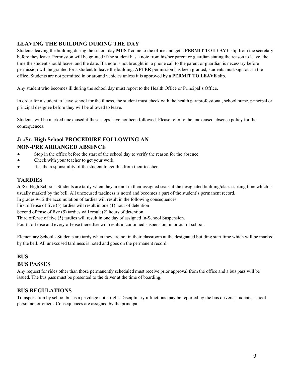#### **LEAVING THE BUILDING DURING THE DAY**

Students leaving the building during the school day **MUST** come to the office and get a **PERMIT TO LEAVE** slip from the secretary before they leave. Permission will be granted if the student has a note from his/her parent or guardian stating the reason to leave, the time the student should leave, and the date. If a note is not brought in, a phone call to the parent or guardian is necessary before permission will be granted for a student to leave the building. **AFTER** permission has been granted, students must sign out in the office. Students are not permitted in or around vehicles unless it is approved by a **PERMIT TO LEAVE** slip.

Any student who becomes ill during the school day must report to the Health Office or Principal's Office.

In order for a student to leave school for the illness, the student must check with the health paraprofessional, school nurse, principal or principal designee before they will be allowed to leave.

Students will be marked unexcused if these steps have not been followed. Please refer to the unexcused absence policy for the consequences.

#### **Jr./Sr. High School PROCEDURE FOLLOWING AN NON-PRE ARRANGED ABSENCE**

- Stop in the office before the start of the school day to verify the reason for the absence
- Check with your teacher to get your work.
- It is the responsibility of the student to get this from their teacher

#### **TARDIES**

Jr./Sr. High School - Students are tardy when they are not in their assigned seats at the designated building/class starting time which is usually marked by the bell. All unexcused tardiness is noted and becomes a part of the student's permanent record.

In grades 9-12 the accumulation of tardies will result in the following consequences.

First offense of five (5) tardies will result in one (1) hour of detention

Second offense of five (5) tardies will result (2) hours of detention

Third offense of five (5) tardies will result in one day of assigned In-School Suspension.

Fourth offense and every offense thereafter will result in continued suspension, in or out of school.

Elementary School - Students are tardy when they are not in their classroom at the designated building start time which will be marked by the bell. All unexcused tardiness is noted and goes on the permanent record.

#### **BUS**

#### **BUS PASSES**

Any request for rides other than those permanently scheduled must receive prior approval from the office and a bus pass will be issued. The bus pass must be presented to the driver at the time of boarding.

#### **BUS REGULATIONS**

Transportation by school bus is a privilege not a right. Disciplinary infractions may be reported by the bus drivers, students, school personnel or others. Consequences are assigned by the principal.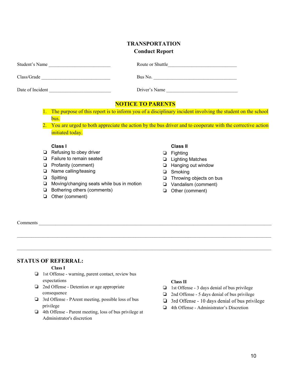#### **TRANSPORTATION Conduct Report**

| Student's Name   | Route or Shuttle |
|------------------|------------------|
| Class/Grade      | Bus No.          |
| Date of Incident | Driver's Name    |

#### **NOTICE TO PARENTS**

 $\mathcal{L}_\mathcal{L} = \{ \mathcal{L}_\mathcal{L} = \{ \mathcal{L}_\mathcal{L} = \{ \mathcal{L}_\mathcal{L} = \{ \mathcal{L}_\mathcal{L} = \{ \mathcal{L}_\mathcal{L} = \{ \mathcal{L}_\mathcal{L} = \{ \mathcal{L}_\mathcal{L} = \{ \mathcal{L}_\mathcal{L} = \{ \mathcal{L}_\mathcal{L} = \{ \mathcal{L}_\mathcal{L} = \{ \mathcal{L}_\mathcal{L} = \{ \mathcal{L}_\mathcal{L} = \{ \mathcal{L}_\mathcal{L} = \{ \mathcal{L}_\mathcal{$ 

 $\mathcal{L}_\mathcal{L} = \{ \mathcal{L}_\mathcal{L} = \{ \mathcal{L}_\mathcal{L} = \{ \mathcal{L}_\mathcal{L} = \{ \mathcal{L}_\mathcal{L} = \{ \mathcal{L}_\mathcal{L} = \{ \mathcal{L}_\mathcal{L} = \{ \mathcal{L}_\mathcal{L} = \{ \mathcal{L}_\mathcal{L} = \{ \mathcal{L}_\mathcal{L} = \{ \mathcal{L}_\mathcal{L} = \{ \mathcal{L}_\mathcal{L} = \{ \mathcal{L}_\mathcal{L} = \{ \mathcal{L}_\mathcal{L} = \{ \mathcal{L}_\mathcal{$ 

- 1. The purpose of this report is to inform you of a disciplinary incident involving the student on the school bus.
- 2. You are urged to both appreciate the action by the bus driver and to cooperate with the corrective action initiated today.

#### **Class I**

- ❏ Refusing to obey driver
- ❏ Failure to remain seated
- ❏ Profanity (comment)
- ❏ Name calling/teasing
- ❏ Spitting
- ❏ Moving/changing seats while bus in motion
- ❏ Bothering others (comments)
- ❏ Other (comment)

#### **Class II**

- ❏ Fighting
- ❏ Lighting Matches
- ❏ Hanging out window
- ❏ Smoking
- ❏ Throwing objects on bus
- ❏ Vandalism (comment)
- ❏ Other (comment)

Comments  $\blacksquare$ 

#### **STATUS OF REFERRAL:**

#### **Class I**

- ❏ 1st Offense warning, parent contact, review bus expectations
- ❏ 2nd Offense Detention or age appropriate consequence
- ❏ 3rd Offense PArent meeting, possible loss of bus privilege
- ❏ 4th Offense Parent meeting, loss of bus privilege at Administrator's discretion

#### **Class II**

- ❏ 1st Offense 3 days denial of bus privilege
- ❏ 2nd Offense 5 days denial of bus privilege
- ❏ 3rd Offense 10 days denial of bus privilege
- ❏ 4th Offense Administrator's Discretion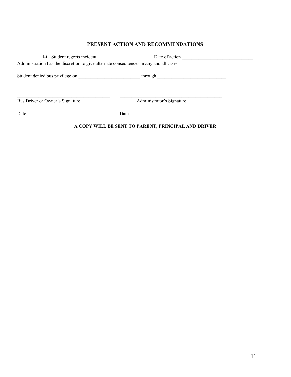#### **PRESENT ACTION AND RECOMMENDATIONS**

|                                 | $\Box$ Student regrets incident                                                        |      | Date of action                                                     |  |
|---------------------------------|----------------------------------------------------------------------------------------|------|--------------------------------------------------------------------|--|
|                                 | Administration has the discretion to give alternate consequences in any and all cases. |      |                                                                    |  |
|                                 |                                                                                        |      |                                                                    |  |
|                                 | Student denied bus privilege on                                                        |      | through $\frac{1}{\sqrt{1-\frac{1}{2}}\left(1-\frac{1}{2}\right)}$ |  |
|                                 |                                                                                        |      |                                                                    |  |
|                                 |                                                                                        |      |                                                                    |  |
| Bus Driver or Owner's Signature |                                                                                        |      | Administrator's Signature                                          |  |
|                                 |                                                                                        |      |                                                                    |  |
| Date                            |                                                                                        | Date |                                                                    |  |
|                                 |                                                                                        |      |                                                                    |  |

#### **A COPY WILL BE SENT TO PARENT, PRINCIPAL AND DRIVER**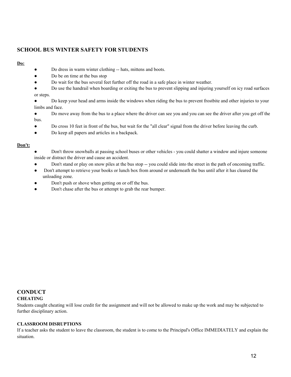#### **SCHOOL BUS WINTER SAFETY FOR STUDENTS**

#### **Do:**

- Do dress in warm winter clothing -- hats, mittens and boots.
- Do be on time at the bus stop
- Do wait for the bus several feet further off the road in a safe place in winter weather.
- Do use the handrail when boarding or exiting the bus to prevent slipping and injuring yourself on icy road surfaces or steps.
- Do keep your head and arms inside the windows when riding the bus to prevent frostbite and other injuries to your limbs and face.
- Do move away from the bus to a place where the driver can see you and you can see the driver after you get off the bus.
- Do cross 10 feet in front of the bus, but wait for the "all clear" signal from the driver before leaving the curb.
- Do keep all papers and articles in a backpack.

#### **Don't:**

- Don't throw snowballs at passing school buses or other vehicles you could shatter a window and injure someone inside or distract the driver and cause an accident.
- Don't stand or play on snow piles at the bus stop -- you could slide into the street in the path of oncoming traffic.
- Don't attempt to retrieve your books or lunch box from around or underneath the bus until after it has cleared the unloading zone.
- Don't push or shove when getting on or off the bus.
- Don't chase after the bus or attempt to grab the rear bumper.

#### **CONDUCT CHEATING**

Students caught cheating will lose credit for the assignment and will not be allowed to make up the work and may be subjected to further disciplinary action.

#### **CLASSROOM DISRUPTIONS**

If a teacher asks the student to leave the classroom, the student is to come to the Principal's Office IMMEDIATELY and explain the situation.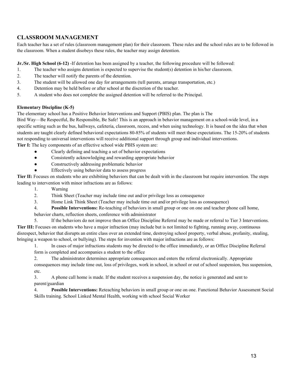#### **CLASSROOM MANAGEMENT**

Each teacher has a set of rules (classroom management plan) for their classroom. These rules and the school rules are to be followed in the classroom. When a student disobeys these rules, the teacher may assign detention.

**Jr./Sr. High School (6-12)** -If detention has been assigned by a teacher, the following procedure will be followed:

- 1. The teacher who assigns detention is expected to supervise the student(s) detention in his/her classroom.
- 2. The teacher will notify the parents of the detention.
- 3. The student will be allowed one day for arrangements (tell parents, arrange transportation, etc.)
- 4. Detention may be held before or after school at the discretion of the teacher.
- 5. A student who does not complete the assigned detention will be referred to the Principal.

#### **Elementary Discipline (K-5)**

The elementary school has a Positive Behavior Interventions and Support (PBIS) plan. The plan is The

Bird Way—Be Respectful, Be Responsible, Be Safe! This is an approach in behavior management on a school-wide level, in a specific setting such as the bus, hallways, cafeteria, classroom, recess, and when using technology. It is based on the idea that when students are taught clearly defined behavioral expectations 80-85% of students will meet these expectations. The 15-20% of students not responding to universal interventions will receive additional support through group and individual interventions.

**Tier I:** The key components of an effective school wide PBIS system are:

- Clearly defining and teaching a set of behavior expectations
- Consistently acknowledging and rewarding appropriate behavior
- Constructively addressing problematic behavior
- Effectively using behavior data to assess progress

**Tier II:** Focuses on students who are exhibiting behaviors that can be dealt with in the classroom but require intervention. The steps leading to intervention with minor infractions are as follows:

- 1. Warning
- 2. Think Sheet (Teacher may include time out and/or privilege loss as consequence
- 3. Home Link Think Sheet (Teacher may include time out and/or privilege loss as consequence)
- 4. **Possible Interventions:** Re-teaching of behaviors in small group or one on one and teacher phone call home, behavior charts, reflection sheets, conference with administrator
- 5. If the behaviors do not improve then an Office Discipline Referral may be made or referral to Tier 3 Interventions. **Tier III:** Focuses on students who have a major infraction (may include but is not limited to fighting, running away, continuous disrespect, behavior that disrupts an entire class over an extended time, destroying school property, verbal abuse, profanity, stealing, bringing a weapon to school, or bullying). The steps for invention with major infractions are as follows:
	- 1. In cases of major infractions students may be directed to the office immediately, or an Office Discipline Referral form is completed and accompanies a student to the office
	- 2. The administrator determines appropriate consequences and enters the referral electronically. Appropriate consequences may include time out, loss of privileges, work in school, in school or out of school suspension, bus suspension, etc.

3. A phone call home is made. If the student receives a suspension day, the notice is generated and sent to parent/guardian

4. **Possible Interventions:** Reteaching behaviors in small group or one on one. Functional Behavior Assessment Social Skills training. School Linked Mental Health, working with school Social Worker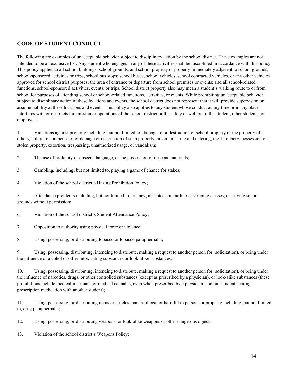#### **CODE OF STUDENT CONDUCT**

The following are examples of unacceptable behavior subject to disciplinary action by the school district. These examples are not intended to be an exclusive list. Any student who engages in any of these activities shall be disciplined in accordance with this policy. This policy applies to all school buildings, school grounds, and school property or property immediately adjacent to school grounds; school-sponsored activities or trips; school bus stops; school buses, school vehicles, school contracted vehicles, or any other vehicles approved for school district purposes; the area of entrance or departure from school premises or events; and all school-related functions, school-sponsored activities, events, or trips. School district property also may mean a student's walking route to or from school for purposes of attending school or school-related functions, activities, or events. While prohibiting unacceptable behavior subject to disciplinary action at these locations and events, the school district does not represent that it will provide supervision or assume liability at these locations and events. This policy also applies to any student whose conduct at any time or in any place interferes with or obstructs the mission or operations of the school district or the safety or welfare of the student, other students, or employees.

1. Violations against property including, but not limited to, damage to or destruction of school property or the property of others, failure to compensate for damage or destruction of such property, arson, breaking and entering, theft, robbery, possession of stolen property, extortion, trespassing, unauthorized usage, or vandalism;

- 2. The use of profanity or obscene language, or the possession of obscene materials;
- 3. Gambling, including, but not limited to, playing a game of chance for stakes;
- 4. Violation of the school district's Hazing Prohibition Policy;

5. Attendance problems including, but not limited to, truancy, absenteeism, tardiness, skipping classes, or leaving school grounds without permission;

- 6. Violation of the school district's Student Attendance Policy;
- 7. Opposition to authority using physical force or violence;
- 8. Using, possessing, or distributing tobacco or tobacco paraphernalia;

9. Using, possessing, distributing, intending to distribute, making a request to another person for (solicitation), or being under the influence of alcohol or other intoxicating substances or look-alike substances;

10. Using, possessing, distributing, intending to distribute, making a request to another person for (solicitation), or being under the influence of narcotics, drugs, or other controlled substances (except as prescribed by a physician), or look-alike substances (these prohibitions include medical marijuana or medical cannabis, even when prescribed by a physician, and one student sharing prescription medication with another student);

11. Using, possessing, or distributing items or articles that are illegal or harmful to persons or property including, but not limited to, drug paraphernalia;

12. Using, possessing, or distributing weapons, or look-alike weapons or other dangerous objects;

13. Violation of the school district's Weapons Policy;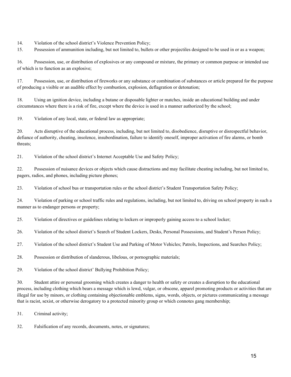14. Violation of the school district's Violence Prevention Policy;

15. Possession of ammunition including, but not limited to, bullets or other projectiles designed to be used in or as a weapon;

16. Possession, use, or distribution of explosives or any compound or mixture, the primary or common purpose or intended use of which is to function as an explosive;

17. Possession, use, or distribution of fireworks or any substance or combination of substances or article prepared for the purpose of producing a visible or an audible effect by combustion, explosion, deflagration or detonation;

18. Using an ignition device, including a butane or disposable lighter or matches, inside an educational building and under circumstances where there is a risk of fire, except where the device is used in a manner authorized by the school;

19. Violation of any local, state, or federal law as appropriate;

20. Acts disruptive of the educational process, including, but not limited to, disobedience, disruptive or disrespectful behavior, defiance of authority, cheating, insolence, insubordination, failure to identify oneself, improper activation of fire alarms, or bomb threats;

21. Violation of the school district's Internet Acceptable Use and Safety Policy;

22. Possession of nuisance devices or objects which cause distractions and may facilitate cheating including, but not limited to, pagers, radios, and phones, including picture phones;

23. Violation of school bus or transportation rules or the school district's Student Transportation Safety Policy;

24. Violation of parking or school traffic rules and regulations, including, but not limited to, driving on school property in such a manner as to endanger persons or property;

25. Violation of directives or guidelines relating to lockers or improperly gaining access to a school locker;

26. Violation of the school district's Search of Student Lockers, Desks, Personal Possessions, and Student's Person Policy;

27. Violation of the school district's Student Use and Parking of Motor Vehicles; Patrols, Inspections, and Searches Policy;

28. Possession or distribution of slanderous, libelous, or pornographic materials;

29. Violation of the school district' Bullying Prohibition Policy;

30. Student attire or personal grooming which creates a danger to health or safety or creates a disruption to the educational process, including clothing which bears a message which is lewd, vulgar, or obscene, apparel promoting products or activities that are illegal for use by minors, or clothing containing objectionable emblems, signs, words, objects, or pictures communicating a message that is racist, sexist, or otherwise derogatory to a protected minority group or which connotes gang membership;

31. Criminal activity;

32. Falsification of any records, documents, notes, or signatures;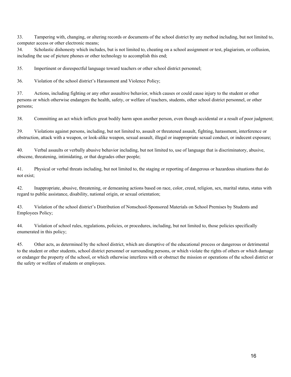33. Tampering with, changing, or altering records or documents of the school district by any method including, but not limited to, computer access or other electronic means;

34. Scholastic dishonesty which includes, but is not limited to, cheating on a school assignment or test, plagiarism, or collusion, including the use of picture phones or other technology to accomplish this end;

35. Impertinent or disrespectful language toward teachers or other school district personnel;

36. Violation of the school district's Harassment and Violence Policy;

37. Actions, including fighting or any other assaultive behavior, which causes or could cause injury to the student or other persons or which otherwise endangers the health, safety, or welfare of teachers, students, other school district personnel, or other persons;

38. Committing an act which inflicts great bodily harm upon another person, even though accidental or a result of poor judgment;

39. Violations against persons, including, but not limited to, assault or threatened assault, fighting, harassment, interference or obstruction, attack with a weapon, or look-alike weapon, sexual assault, illegal or inappropriate sexual conduct, or indecent exposure;

40. Verbal assaults or verbally abusive behavior including, but not limited to, use of language that is discriminatory, abusive, obscene, threatening, intimidating, or that degrades other people;

41. Physical or verbal threats including, but not limited to, the staging or reporting of dangerous or hazardous situations that do not exist;

42. Inappropriate, abusive, threatening, or demeaning actions based on race, color, creed, religion, sex, marital status, status with regard to public assistance, disability, national origin, or sexual orientation;

43. Violation of the school district's Distribution of Nonschool-Sponsored Materials on School Premises by Students and Employees Policy;

44. Violation of school rules, regulations, policies, or procedures, including, but not limited to, those policies specifically enumerated in this policy;

45. Other acts, as determined by the school district, which are disruptive of the educational process or dangerous or detrimental to the student or other students, school district personnel or surrounding persons, or which violate the rights of others or which damage or endanger the property of the school, or which otherwise interferes with or obstruct the mission or operations of the school district or the safety or welfare of students or employees.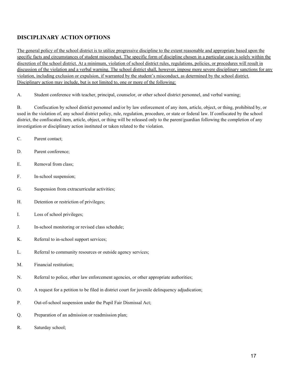#### **DISCIPLINARY ACTION OPTIONS**

The general policy of the school district is to utilize progressive discipline to the extent reasonable and appropriate based upon the specific facts and circumstances of student misconduct. The specific form of discipline chosen in a particular case is solely within the discretion of the school district. At a minimum, violation of school district rules, regulations, policies, or procedures will result in discussion of the violation and a verbal warning. The school district shall, however, impose more severe disciplinary sanctions for any violation, including exclusion or expulsion, if warranted by the student's misconduct, as determined by the school district. Disciplinary action may include, but is not limited to, one or more of the following:

A. Student conference with teacher, principal, counselor, or other school district personnel, and verbal warning;

B. Confiscation by school district personnel and/or by law enforcement of any item, article, object, or thing, prohibited by, or used in the violation of, any school district policy, rule, regulation, procedure, or state or federal law. If confiscated by the school district, the confiscated item, article, object, or thing will be released only to the parent/guardian following the completion of any investigation or disciplinary action instituted or taken related to the violation.

- C. Parent contact;
- D. Parent conference;
- E. Removal from class;
- F. In-school suspension;
- G. Suspension from extracurricular activities;
- H. Detention or restriction of privileges;
- I. Loss of school privileges;
- J. In-school monitoring or revised class schedule;
- K. Referral to in-school support services;
- L. Referral to community resources or outside agency services;
- M. Financial restitution;
- N. Referral to police, other law enforcement agencies, or other appropriate authorities;
- O. A request for a petition to be filed in district court for juvenile delinquency adjudication;
- P. Out-of-school suspension under the Pupil Fair Dismissal Act;
- Q. Preparation of an admission or readmission plan;
- R. Saturday school;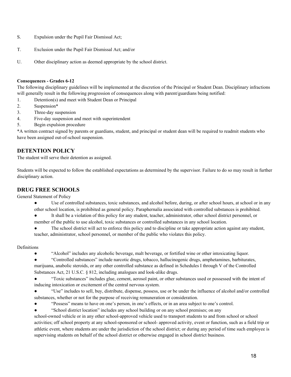- S. Expulsion under the Pupil Fair Dismissal Act;
- T. Exclusion under the Pupil Fair Dismissal Act; and/or
- U. Other disciplinary action as deemed appropriate by the school district.

#### **Consequences - Grades 6-12**

The following disciplinary guidelines will be implemented at the discretion of the Principal or Student Dean. Disciplinary infractions will generally result in the following progression of consequences along with parent/guardians being notified:

- 1. Detention(s) and meet with Student Dean or Principal
- 2. Suspension\*
- 3. Three-day suspension
- 4. Five-day suspension and meet with superintendent
- 5. Begin expulsion procedure

\*A written contract signed by parents or guardians, student, and principal or student dean will be required to readmit students who have been assigned out-of-school suspension.

#### **DETENTION POLICY**

The student will serve their detention as assigned.

Students will be expected to follow the established expectations as determined by the supervisor. Failure to do so may result in further disciplinary action.

#### **DRUG FREE SCHOOLS**

General Statement of Policy

- Use of controlled substances, toxic substances, and alcohol before, during, or after school hours, at school or in any other school location, is prohibited as general policy. Paraphernalia associated with controlled substances is prohibited.
- It shall be a violation of this policy for any student, teacher, administrator, other school district personnel, or member of the public to use alcohol, toxic substances or controlled substances in any school location.
- The school district will act to enforce this policy and to discipline or take appropriate action against any student, teacher, administrator, school personnel, or member of the public who violates this policy.

#### **Definitions**

- "Alcohol" includes any alcoholic beverage, malt beverage, or fortified wine or other intoxicating liquor.
- "Controlled substances" include narcotic drugs, tobacco, hallucinogenic drugs, amphetamines, barbiturates, marijuana, anabolic steroids, or any other controlled substance as defined in Schedules I through V of the Controlled Substances Act, 21 U.S.C. § 812, including analogues and look-alike drugs.
- "Toxic substances" includes glue, cement, aerosol paint, or other substances used or possessed with the intent of inducing intoxication or excitement of the central nervous system.

● "Use" includes to sell, buy, distribute, dispense, possess, use or be under the influence of alcohol and/or controlled substances, whether or not for the purpose of receiving remuneration or consideration.

- "Possess" means to have on one's person, in one's effects, or in an area subject to one's control.
- "School district location" includes any school building or on any school premises; on any

school-owned vehicle or in any other school-approved vehicle used to transport students to and from school or school activities; off school property at any school-sponsored or school- approved activity, event or function, such as a field trip or athletic event, where students are under the jurisdiction of the school district; or during any period of time such employee is supervising students on behalf of the school district or otherwise engaged in school district business.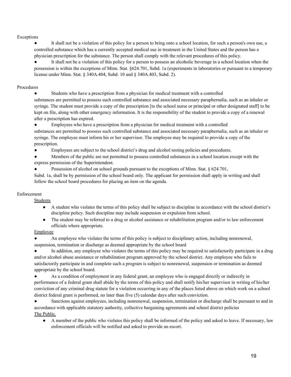#### Exceptions

It shall not be a violation of this policy for a person to bring onto a school location, for such a person's own use, a controlled substance which has a currently accepted medical use in treatment in the United States and the person has a physician prescription for the substance. The person shall comply with the relevant procedures of this policy.

It shall not be a violation of this policy for a person to possess an alcoholic beverage in a school location when the possession is within the exceptions of Minn. Stat. §624.701, Subd. 1a (experiments in laboratories or pursuant to a temporary license under Minn. Stat. § 340A.404, Subd. 10 and § 340A.403, Subd. 2).

#### Procedures

Students who have a prescription from a physician for medical treatment with a controlled

substances are permitted to possess such controlled substance and associated necessary paraphernalia, such as an inhaler or syringe. The student must provide a copy of the prescription [to the school nurse or principal or other designated staff] to be kept on file, along with other emergency information. It is the responsibility of the student to provide a copy of a renewal after a prescription has expired.

Employees who have a prescription from a physician for medical treatment with a controlled

substances are permitted to possess such controlled substance and associated necessary paraphernalia, such as an inhaler or syringe. The employee must inform his or her supervisor. The employee may be required to provide a copy of the prescription.

● Employees are subject to the school district's drug and alcohol testing policies and procedures.

● Members of the public are not permitted to possess controlled substances in a school location except with the express permission of the Superintendent.

Possession of alcohol on school grounds pursuant to the exceptions of Minn. Stat.  $\S$  624.701,

Subd. 1a, shall be by permission of the school board only. The applicant for permission shall apply in writing and shall follow the school board procedures for placing an item on the agenda.

#### Enforcement

Students

- A student who violates the terms of this policy shall be subject to discipline in accordance with the school district's discipline policy. Such discipline may include suspension or expulsion from school.
- The student may be referred to a drug or alcohol assistance or rehabilitation program and/or to law enforcement officials where appropriate.

#### Employee

An employee who violates the terms of this policy is subject to disciplinary action, including nonrenewal, suspension, termination or discharge as deemed appropriate by the school board

In addition, any employee who violates the terms of this policy may be required to satisfactorily participate in a drug and/or alcohol abuse assistance or rehabilitation program approved by the school district. Any employee who fails to satisfactorily participate in and complete such a program is subject to nonrenewal, suspension or termination as deemed appropriate by the school board.

● As a condition of employment in any federal grant, an employee who is engaged directly or indirectly in performance of a federal grant shall abide by the terms of this policy and shall notify his/her supervisor in writing of his/her conviction of any criminal drug statute for a violation occurring in any of the places listed above on which work on a school district federal grant is performed, no later than five (5) calendar days after such conviction.

Sanctions against employees, including nonrenewal, suspension, termination or discharge shall be pursuant to and in accordance with applicable statutory authority, collective bargaining agreements and school district policies The Public.

● A member of the public who violates this policy shall be informed of the policy and asked to leave. If necessary, law enforcement officials will be notified and asked to provide an escort.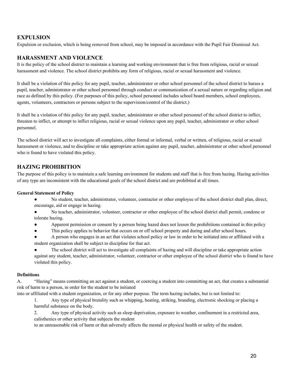#### **EXPULSION**

Expulsion or exclusion, which is being removed from school, may be imposed in accordance with the Pupil Fair Dismissal Act.

#### **HARASSMENT AND VIOLENCE**

It is the policy of the school district to maintain a learning and working environment that is free from religious, racial or sexual harassment and violence. The school district prohibits any form of religious, racial or sexual harassment and violence.

It shall be a violation of this policy for any pupil, teacher, administrator or other school personnel of the school district to harass a pupil, teacher, administrator or other school personnel through conduct or communication of a sexual nature or regarding religion and race as defined by this policy. (For purposes of this policy, school personnel includes school board members, school employees, agents, volunteers, contractors or persons subject to the supervision/control of the district.)

It shall be a violation of this policy for any pupil, teacher, administrator or other school personnel of the school district to inflict, threaten to inflict, or attempt to inflict religious, racial or sexual violence upon any pupil, teacher, administrator or other school personnel.

The school district will act to investigate all complaints, either formal or informal, verbal or written, of religious, racial or sexual harassment or violence, and to discipline or take appropriate action against any pupil, teacher, administrator or other school personnel who is found to have violated this policy.

#### **HAZING PROHIBITION**

The purpose of this policy is to maintain a safe learning environment for students and staff that is free from hazing. Hazing activities of any type are inconsistent with the educational goals of the school district and are prohibited at all times.

#### **General Statement of Policy**

- No student, teacher, administrator, volunteer, contractor or other employee of the school district shall plan, direct, encourage, aid or engage in hazing.
- No teacher, administrator, volunteer, contractor or other employee of the school district shall permit, condone or tolerate hazing.
- Apparent permission or consent by a person being hazed does not lessen the prohibitions contained in this policy
- This policy applies to behavior that occurs on or off school property and during and after school hours.
- A person who engages in an act that violates school policy or law in order to be initiated into or affiliated with a student organization shall be subject to discipline for that act.

● The school district will act to investigate all complaints of hazing and will discipline or take appropriate action against any student, teacher, administrator, volunteer, contractor or other employee of the school district who is found to have violated this policy.

#### **Definitions**

A. "Hazing" means committing an act against a student, or coercing a student into committing an act, that creates a substantial risk of harm to a person, in order for the student to be initiated

into or affiliated with a student organization, or for any other purpose. The term hazing includes, but is not limited to:

1. Any type of physical brutality such as whipping, beating, striking, branding, electronic shocking or placing a harmful substance on the body.

2. Any type of physical activity such as sleep deprivation, exposure to weather, confinement in a restricted area, calisthenics or other activity that subjects the student

to an unreasonable risk of harm or that adversely affects the mental or physical health or safety of the student.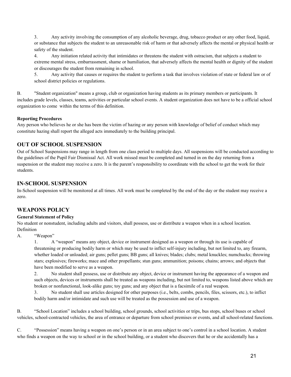3. Any activity involving the consumption of any alcoholic beverage, drug, tobacco product or any other food, liquid, or substance that subjects the student to an unreasonable risk of harm or that adversely affects the mental or physical health or safety of the student.

4. Any initiation related activity that intimidates or threatens the student with ostracism, that subjects a student to extreme mental stress, embarrassment, shame or humiliation, that adversely affects the mental health or dignity of the student or discourages the student from remaining in school.

5. Any activity that causes or requires the student to perform a task that involves violation of state or federal law or of school district policies or regulations.

B. "Student organization" means a group, club or organization having students as its primary members or participants. It includes grade levels, classes, teams, activities or particular school events. A student organization does not have to be a official school organization to come within the terms of this definition.

#### **Reporting Procedures**

Any person who believes he or she has been the victim of hazing or any person with knowledge of belief of conduct which may constitute hazing shall report the alleged acts immediately to the building principal.

#### **OUT OF SCHOOL SUSPENSION**

Out of School Suspensions may range in length from one class period to multiple days. All suspensions will be conducted according to the guidelines of the Pupil Fair Dismissal Act. All work missed must be completed and turned in on the day returning from a suspension or the student may receive a zero. It is the parent's responsibility to coordinate with the school to get the work for their students.

#### **IN-SCHOOL SUSPENSION**

In-School suspension will be monitored at all times. All work must be completed by the end of the day or the student may receive a zero.

#### **WEAPONS POLICY**

#### **General Statement of Policy**

No student or nonstudent, including adults and visitors, shall possess, use or distribute a weapon when in a school location. Definition

#### A. "Weapon"

1. A "weapon" means any object, device or instrument designed as a weapon or through its use is capable of threatening or producing bodily harm or which may be used to inflict self-injury including, but not limited to, any firearm, whether loaded or unloaded; air guns; pellet guns; BB guns; all knives; blades; clubs; metal knuckles; numchucks; throwing stars; explosives; fireworks; mace and other propellants; stun guns; ammunition; poisons; chains; arrows; and objects that have been modified to serve as a weapon.

2. No student shall possess, use or distribute any object, device or instrument having the appearance of a weapon and such objects, devices or instruments shall be treated as weapons including, but not limited to, weapons listed above which are broken or nonfunctional, look-alike guns; toy guns; and any object that is a facsimile of a real weapon.

3. No student shall use articles designed for other purposes (i.e., belts, combs, pencils, files, scissors, etc.), to inflict bodily harm and/or intimidate and such use will be treated as the possession and use of a weapon.

B. "School Location" includes a school building, school grounds, school activities or trips, bus stops, school buses or school vehicles, school-contracted vehicles, the area of entrance or departure from school premises or events, and all school-related functions.

C. "Possession" means having a weapon on one's person or in an area subject to one's control in a school location. A student who finds a weapon on the way to school or in the school building, or a student who discovers that he or she accidentally has a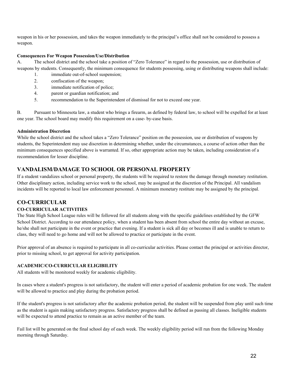weapon in his or her possession, and takes the weapon immediately to the principal's office shall not be considered to possess a weapon.

#### **Consequences For Weapon Possession/Use/Distribution**

A. The school district and the school take a position of "Zero Tolerance" in regard to the possession, use or distribution of weapons by students. Consequently, the minimum consequence for students possessing, using or distributing weapons shall include:

- 1. immediate out-of-school suspension;
- 2. confiscation of the weapon;
- 3. immediate notification of police;
- 4. parent or guardian notification; and
- 5. recommendation to the Superintendent of dismissal for not to exceed one year.

B. Pursuant to Minnesota law, a student who brings a firearm, as defined by federal law, to school will be expelled for at least one year. The school board may modify this requirement on a case- by-case basis.

#### **Administration Discretion**

While the school district and the school takes a "Zero Tolerance" position on the possession, use or distribution of weapons by students, the Superintendent may use discretion in determining whether, under the circumstances, a course of action other than the minimum consequences specified above is warranted. If so, other appropriate action may be taken, including consideration of a recommendation for lesser discipline.

#### **VANDALISM/DAMAGE TO SCHOOL OR PERSONAL PROPERTY**

If a student vandalizes school or personal property, the students will be required to restore the damage through monetary restitution. Other disciplinary action, including service work to the school, may be assigned at the discretion of the Principal. All vandalism incidents will be reported to local law enforcement personnel. A minimum monetary restitute may be assigned by the principal.

#### **CO-CURRICULAR**

#### **CO-CURRICULAR ACTIVITIES**

The State High School League rules will be followed for all students along with the specific guidelines established by the GFW School District. According to our attendance policy, when a student has been absent from school the entire day without an excuse, he/she shall not participate in the event or practice that evening. If a student is sick all day or becomes ill and is unable to return to class, they will need to go home and will not be allowed to practice or participate in the event.

Prior approval of an absence is required to participate in all co-curricular activities. Please contact the principal or activities director, prior to missing school, to get approval for activity participation.

#### **ACADEMIC/CO-CURRICULAR ELIGIBILITY**

All students will be monitored weekly for academic eligibility.

In cases where a student's progress is not satisfactory, the student will enter a period of academic probation for one week. The student will be allowed to practice and play during the probation period.

If the student's progress is not satisfactory after the academic probation period, the student will be suspended from play until such time as the student is again making satisfactory progress. Satisfactory progress shall be defined as passing all classes. Ineligible students will be expected to attend practice to remain as an active member of the team.

Fail list will be generated on the final school day of each week. The weekly eligibility period will run from the following Monday morning through Saturday.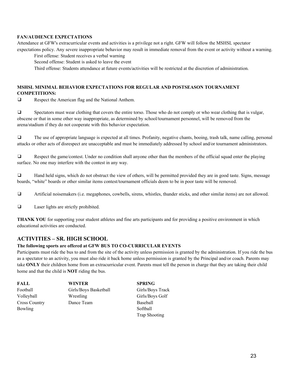#### **FAN/AUDIENCE EXPECTATIONS**

Attendance at GFW's extracurricular events and activities is a privilege not a right. GFW will follow the MSHSL spectator expectations policy. Any severe inappropriate behavior may result in immediate removal from the event or activity without a warning.

First offense: Student receives a verbal warning

Second offense: Student is asked to leave the event

Third offense: Students attendance at future events/activities will be restricted at the discretion of administration.

#### **MSHSL MINIMAL BEHAVIOR EXPECTATIONS FOR REGULAR AND POSTSEASON TOURNAMENT COMPETITIONS:**

❑ Respect the American flag and the National Anthem.

❑ Spectators must wear clothing that covers the entire torso. Those who do not comply or who wear clothing that is vulgar, obscene or that in some other way inappropriate, as determined by school/tournament personnel, will be removed from the arena/stadium if they do not cooperate with this behavior expectation.

❑ The use of appropriate language is expected at all times. Profanity, negative chants, booing, trash talk, name calling, personal attacks or other acts of disrespect are unacceptable and must be immediately addressed by school and/or tournament administrators.

❑ Respect the game/contest. Under no condition shall anyone other than the members of the official squad enter the playing surface. No one may interfere with the contest in any way.

❑ Hand held signs, which do not obstruct the view of others, will be permitted provided they are in good taste. Signs, message boards, "white" boards or other similar items contest/tournament officials deem to be in poor taste will be removed.

❑ Artificial noisemakers (i.e. megaphones, cowbells, sirens, whistles, thunder sticks, and other similar items) are not allowed.

❑ Laser lights are strictly prohibited.

**THANK YOU** for supporting your student athletes and fine arts participants and for providing a positive environment in which educational activities are conducted.

#### **ACTIVITIES – SR. HIGH SCHOOL**

#### **The following sports are offered at GFW BUS TO CO-CURRICULAR EVENTS**

Participants must ride the bus to and from the site of the activity unless permission is granted by the administration. If you ride the bus as a spectator to an activity, you must also ride it back home unless permission is granted by the Principal and/or coach. Parents may take **ONLY** their children home from an extracurricular event. Parents must tell the person in charge that they are taking their child home and that the child is **NOT** riding the bus.

| FALL                 | <b>WINTER</b>         | <b>SPRING</b>        |
|----------------------|-----------------------|----------------------|
| Football             | Girls/Boys Basketball | Girls/Boys Track     |
| Volleyball           | Wrestling             | Girls/Boys Golf      |
| <b>Cross Country</b> | Dance Team            | Baseball             |
| <b>Bowling</b>       |                       | Softball             |
|                      |                       | <b>Trap Shooting</b> |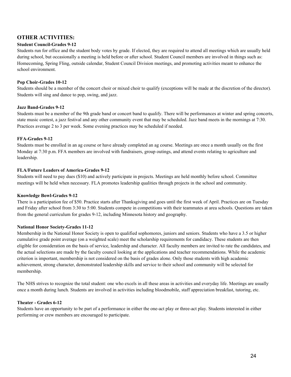#### **OTHER ACTIVITIES:**

#### **Student Council-Grades 9-12**

Students run for office and the student body votes by grade. If elected, they are required to attend all meetings which are usually held during school, but occasionally a meeting is held before or after school. Student Council members are involved in things such as: Homecoming, Spring Fling, outside calendar, Student Council Division meetings, and promoting activities meant to enhance the school environment.

#### **Pop Choir-Grades 10-12**

Students should be a member of the concert choir or mixed choir to qualify (exceptions will be made at the discretion of the director). Students will sing and dance to pop, swing, and jazz.

#### **Jazz Band-Grades 9-12**

Students must be a member of the 9th grade band or concert band to qualify. There will be performances at winter and spring concerts, state music contest, a jazz festival and any other community event that may be scheduled. Jazz band meets in the mornings at 7:30. Practices average 2 to 3 per week. Some evening practices may be scheduled if needed.

#### **FFA-Grades 9-12**

Students must be enrolled in an ag course or have already completed an ag course. Meetings are once a month usually on the first Monday at 7:30 p.m. FFA members are involved with fundraisers, group outings, and attend events relating to agriculture and leadership.

#### **FLA/Future Leaders of America-Grades 9-12**

Students will need to pay dues (\$10) and actively participate in projects. Meetings are held monthly before school. Committee meetings will be held when necessary. FLA promotes leadership qualities through projects in the school and community.

#### **Knowledge Bowl-Grades 9-12**

There is a participation fee of \$50. Practice starts after Thanksgiving and goes until the first week of April. Practices are on Tuesday and Friday after school from 3:30 to 5:00. Students compete in competitions with their teammates at area schools. Questions are taken from the general curriculum for grades 9-12, including Minnesota history and geography.

#### **National Honor Society-Grades 11-12**

Membership in the National Honor Society is open to qualified sophomores, juniors and seniors. Students who have a 3.5 or higher cumulative grade point average (on a weighted scale) meet the scholarship requirements for candidacy. These students are then eligible for consideration on the basis of service, leadership and character. All faculty members are invited to rate the candidates, and the actual selections are made by the faculty council looking at the applications and teacher recommendations. While the academic criterion is important, membership is not considered on the basis of grades alone. Only those students with high academic achievement, strong character, demonstrated leadership skills and service to their school and community will be selected for membership.

The NHS strives to recognize the total student: one who excels in all these areas in activities and everyday life. Meetings are usually once a month during lunch. Students are involved in activities including bloodmobile, staff appreciation breakfast, tutoring, etc.

#### **Theater - Grades 6-12**

Students have an opportunity to be part of a performance in either the one-act play or three-act play. Students interested in either performing or crew members are encouraged to participate.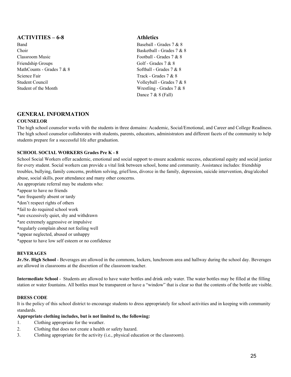#### **ACTIVITIES – 6-8 Athletics**

Band Baseball - Grades 7 & 8 Choir Basketball - Grades 7 & 8 Classroom Music Football - Grades 7 & 8 Friendship Groups Golf - Grades 7 & 8 MathCounts - Grades 7  $\&$  8  $\&$  8  $\&$  8  $\&$  8  $\&$  8  $\&$  8  $\&$  8  $\&$  8  $\&$  8  $\&$  8  $\&$  8  $\&$  8  $\&$  8  $\&$  8  $\&$  8  $\&$  8  $\&$  8  $\&$  8  $\&$  8  $\&$  8  $\&$  8  $\&$  8  $\&$  8  $\&$  8  $\&$  8  $\&$  8  $\&$  8  $\&$  8  $\&$ Science Fair Track - Grades 7 & 8 Student Council and Volleyball - Grades 7 & 8 Student of the Month Wrestling - Grades 7 & 8

Dance 7 & 8 (Fall)

## **GENERAL INFORMATION**

#### **COUNSELOR**

The high school counselor works with the students in three domains: Academic, Social/Emotional, and Career and College Readiness. The high school counselor collaborates with students, parents, educators, administrators and different facets of the community to help students prepare for a successful life after graduation.

#### **SCHOOL SOCIAL WORKERS Grades Pre K - 8**

School Social Workers offer academic, emotional and social support to ensure academic success, educational equity and social justice for every student. Social workers can provide a vital link between school, home and community. Assistance includes: friendship troubles, bullying, family concerns, problem solving, grief/loss, divorce in the family, depression, suicide intervention, drug/alcohol abuse, social skills, poor attendance and many other concerns.

An appropriate referral may be students who: \*appear to have no friends \*are frequently absent or tardy \*don't respect rights of others \*fail to do required school work \*are excessively quiet, shy and withdrawn \*are extremely aggressive or impulsive \*regularly complain about not feeling well \*appear neglected, abused or unhappy \*appear to have low self esteem or no confidence

#### **BEVERAGES**

**Jr./Sr. High School** - Beverages are allowed in the commons, lockers, lunchroom area and hallway during the school day. Beverages are allowed in classrooms at the discretion of the classroom teacher.

**Intermediate School** - Students are allowed to have water bottles and drink only water. The water bottles may be filled at the filling station or water fountains. All bottles must be transparent or have a "window" that is clear so that the contents of the bottle are visible.

#### **DRESS CODE**

It is the policy of this school district to encourage students to dress appropriately for school activities and in keeping with community standards.

#### **Appropriate clothing includes, but is not limited to, the following:**

- 1. Clothing appropriate for the weather.
- 2. Clothing that does not create a health or safety hazard.
- 3. Clothing appropriate for the activity (i.e., physical education or the classroom).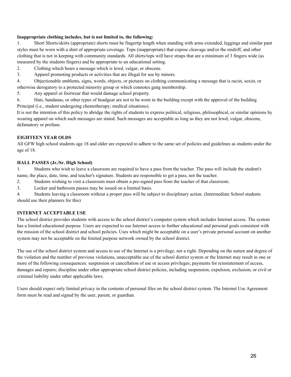#### **Inappropriate clothing includes, but is not limited to, the following:**

1. Short Shorts/skirts (appropriate) shorts must be fingertip length when standing with arms extended, leggings and similar pant styles must be worn with a shirt of appropriate coverage. Tops (inappropriate) that expose cleavage and/or the midriff, and other clothing that is not in keeping with community standards. All shirts/tops will have straps that are a minimum of 3 fingers wide (as measured by the students fingers) and be appropriate to an educational setting.

- 2. Clothing which bears a message which is lewd, vulgar, or obscene.
- 3. Apparel promoting products or activities that are illegal for use by minors.

4. Objectionable emblems, signs, words, objects, or pictures on clothing communicating a message that is racist, sexist, or otherwise derogatory to a protected minority group or which connotes gang membership.

5. Any apparel or footwear that would damage school property.

6. Hats, bandanas, or other types of headgear are not to be worn in the building except with the approval of the building Principal (i.e., student undergoing chemotherapy; medical situations).

It is not the intention of this policy to abridge the rights of students to express political, religious, philosophical, or similar opinions by wearing apparel on which such messages are stated. Such messages are acceptable as long as they are not lewd, vulgar, obscene, defamatory or profane.

#### **EIGHTEEN YEAR OLDS**

All GFW high school students age 18 and older are expected to adhere to the same set of policies and guidelines as students under the age of 18.

#### **HALL PASSES (Jr./Sr. High School)**

1. Students who wish to leave a classroom are required to have a pass from the teacher. The pass will include the student's name, the place, date, time, and teacher's signature. Students are responsible to get a pass, not the teacher.

2. Students wishing to visit a classroom must obtain a pre-signed pass from the teacher of that classroom.

3. Locker and bathroom passes may be issued on a limited basis.

4. Students leaving a classroom without a proper pass will be subject to disciplinary action. (Intermediate School students should use their planners for this)

#### **INTERNET ACCEPTABLE USE**

The school district provides students with access to the school district's computer system which includes Internet access. The system has a limited educational purpose. Users are expected to use Internet access to further educational and personal goals consistent with the mission of the school district and school policies. Uses which might be acceptable on a user's private personal account on another system may not be acceptable on the limited purpose network owned by the school district.

The use of the school district system and access to use of the Internet is a privilege, not a right. Depending on the nature and degree of the violation and the number of previous violations, unacceptable use of the school district system or the Internet may result in one or more of the following consequences: suspension or cancellation of use or access privileges; payments for reinstatement of access, damages and repairs; discipline under other appropriate school district policies, including suspension, expulsion, exclusion; or civil or criminal liability under other applicable laws.

Users should expect only limited privacy in the contents of personal files on the school district system. The Internet Use Agreement form must be read and signed by the user, parent, or guardian.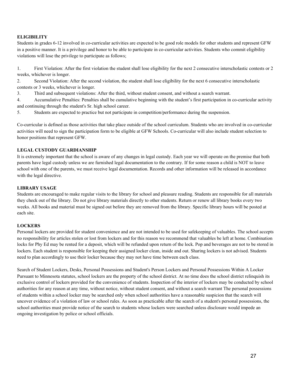#### **ELIGIBILITY**

Students in grades 6-12 involved in co-curricular activities are expected to be good role models for other students and represent GFW in a positive manner. It is a privilege and honor to be able to participate in co-curricular activities. Students who commit eligibility violations will lose the privilege to participate as follows;

1. First Violation: After the first violation the student shall lose eligibility for the next 2 consecutive interscholastic contests or 2 weeks, whichever is longer.

2. Second Violation: After the second violation, the student shall lose eligibility for the next 6 consecutive interscholastic contests or 3 weeks, whichever is longer.

3. Third and subsequent violations: After the third, without student consent, and without a search warrant.

4. Accumulative Penalties: Penalties shall be cumulative beginning with the student's first participation in co-curricular activity and continuing through the student's Sr. high school career.

5. Students are expected to practice but not participate in competition/performance during the suspension.

Co-curricular is defined as those activities that take place outside of the school curriculum. Students who are involved in co-curricular activities will need to sign the participation form to be eligible at GFW Schools. Co-curricular will also include student selection to honor positions that represent GFW.

#### **LEGAL CUSTODY GUARDIANSHIP**

It is extremely important that the school is aware of any changes in legal custody. Each year we will operate on the premise that both parents have legal custody unless we are furnished legal documentation to the contrary. If for some reason a child is NOT to leave school with one of the parents, we must receive legal documentation. Records and other information will be released in accordance with the legal directive.

#### **LIBRARY USAGE**

Students are encouraged to make regular visits to the library for school and pleasure reading. Students are responsible for all materials they check out of the library. Do not give library materials directly to other students. Return or renew all library books every two weeks. All books and material must be signed out before they are removed from the library. Specific library hours will be posted at each site.

#### **LOCKERS**

Personal lockers are provided for student convenience and are not intended to be used for safekeeping of valuables. The school accepts no responsibility for articles stolen or lost from lockers and for this reason we recommend that valuables be left at home. Combination locks for Phy Ed may be rented for a deposit, which will be refunded upon return of the lock. Pop and beverages are not to be stored in lockers. Each student is responsible for keeping their assigned locker clean, inside and out. Sharing lockers is not advised. Students need to plan accordingly to use their locker because they may not have time between each class.

Search of Student Lockers, Desks, Personal Possessions and Student's Person Lockers and Personal Possessions Within A Locker Pursuant to Minnesota statutes, school lockers are the property of the school district. At no time does the school district relinquish its exclusive control of lockers provided for the convenience of students. Inspection of the interior of lockers may be conducted by school authorities for any reason at any time, without notice, without student consent, and without a search warrant The personal possessions of students within a school locker may be searched only when school authorities have a reasonable suspicion that the search will uncover evidence of a violation of law or school rules. As soon as practicable after the search of a student's personal possessions, the school authorities must provide notice of the search to students whose lockers were searched unless disclosure would impede an ongoing investigation by police or school officials.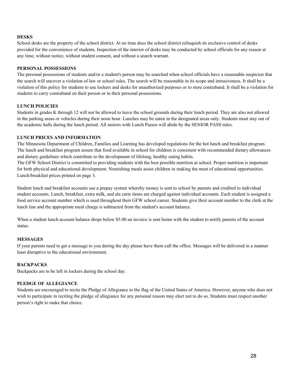#### **DESKS**

School desks are the property of the school district. At no time does the school district relinquish its exclusive control of desks provided for the convenience of students. Inspection of the interior of desks may be conducted by school officials for any reason at any time, without notice, without student consent, and without a search warrant.

#### **PERSONAL POSSESSIONS**

The personal possessions of students and/or a student's person may be searched when school officials have a reasonable suspicion that the search will uncover a violation of law or school rules. The search will be reasonable in its scope and intrusiveness. It shall be a violation of this policy for students to use lockers and desks for unauthorized purposes or to store contraband. It shall be a violation for students to carry contraband on their person or in their personal possessions.

#### **LUNCH POLICIES**

Students in grades K through 12 will not be allowed to leave the school grounds during their lunch period. They are also not allowed in the parking areas or vehicles during their noon hour. Lunches may be eaten in the designated areas only. Students must stay out of the academic halls during the lunch period. All seniors with Lunch Passes will abide by the SENIOR PASS rules.

#### **LUNCH PRICES AND INFORMATION**

The Minnesota Department of Children, Families and Learning has developed regulations for the hot lunch and breakfast program. The lunch and breakfast program assure that food available in school for children is consistent with recommended dietary allowances and dietary guidelines which contribute to the development of lifelong, healthy eating habits.

The GFW School District is committed to providing students with the best possible nutrition at school. Proper nutrition is important for both physical and educational development. Nourishing meals assist children in making the most of educational opportunities. Lunch/breakfast prices printed on page 3.

Student lunch and breakfast accounts use a prepay system whereby money is sent to school by parents and credited to individual student accounts. Lunch, breakfast, extra milk, and ala carte items are charged against individual accounts. Each student is assigned a food service account number which is used throughout their GFW school career. Students give their account number to the clerk at the lunch line and the appropriate meal charge is subtracted from the student's account balance.

When a student lunch account balance drops below \$5.00 an invoice is sent home with the student to notify parents of the account status.

#### **MESSAGES**

If your parents need to get a message to you during the day please have them call the office. Messages will be delivered in a manner least disruptive to the educational environment.

#### **BACKPACKS**

Backpacks are to be left in lockers during the school day.

#### **PLEDGE OF ALLEGIANCE**

Students are encouraged to recite the Pledge of Allegiance to the flag of the United States of America. However, anyone who does not wish to participate in reciting the pledge of allegiance for any personal reason may elect not to do so. Students must respect another person's right to make that choice.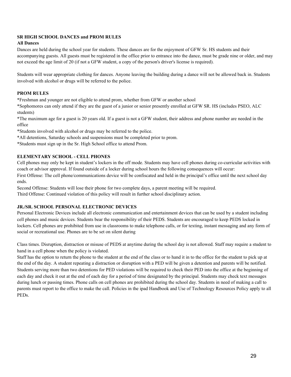#### **SR HIGH SCHOOL DANCES and PROM RULES**

#### **All Dances**

Dances are held during the school year for students. These dances are for the enjoyment of GFW Sr. HS students and their accompanying guests. All guests must be registered in the office prior to entrance into the dance, must be grade nine or older, and may not exceed the age limit of 20 (if not a GFW student, a copy of the person's driver's license is required).

Students will wear appropriate clothing for dances. Anyone leaving the building during a dance will not be allowed back in. Students involved with alcohol or drugs will be referred to the police.

#### **PROM RULES**

\*Freshman and younger are not eligible to attend prom, whether from GFW or another school

\*Sophomores can only attend if they are the guest of a junior or senior presently enrolled at GFW SR. HS (includes PSEO, ALC students)

\*The maximum age for a guest is 20 years old. If a guest is not a GFW student, their address and phone number are needed in the office

\*Students involved with alcohol or drugs may be referred to the police.

\*All detentions, Saturday schools and suspensions must be completed prior to prom.

\*Students must sign up in the Sr. High School office to attend Prom.

#### **ELEMENTARY SCHOOL - CELL PHONES**

Cell phones may only be kept in student's lockers in the off mode. Students may have cell phones during co-curricular activities with coach or advisor approval. If found outside of a locker during school hours the following consequences will occur:

First Offense: The cell phone/communications device will be confiscated and held in the principal's office until the next school day ends.

Second Offense: Students will lose their phone for two complete days, a parent meeting will be required. Third Offense: Continued violation of this policy will result in further school disciplinary action.

#### **JR./SR. SCHOOL PERSONAL ELECTRONIC DEVICES**

Personal Electronic Devices include all electronic communication and entertainment devices that can be used by a student including cell phones and music devices. Students bear the responsibility of their PEDS. Students are encouraged to keep PEDS locked in lockers. Cell phones are prohibited from use in classrooms to make telephone calls, or for texting, instant messaging and any form of social or recreational use. Phones are to be set on silent during

Class times. Disruption, distraction or misuse of PEDS at anytime during the school day is not allowed. Staff may require a student to hand in a cell phone when the policy is violated.

Staff has the option to return the phone to the student at the end of the class or to hand it in to the office for the student to pick up at the end of the day. A student repeating a distraction or disruption with a PED will be given a detention and parents will be notified. Students serving more than two detentions for PED violations will be required to check their PED into the office at the beginning of each day and check it out at the end of each day for a period of time designated by the principal. Students may check text messages during lunch or passing times. Phone calls on cell phones are prohibited during the school day. Students in need of making a call to parents must report to the office to make the call. Policies in the ipad Handbook and Use of Technology Resources Policy apply to all PEDs.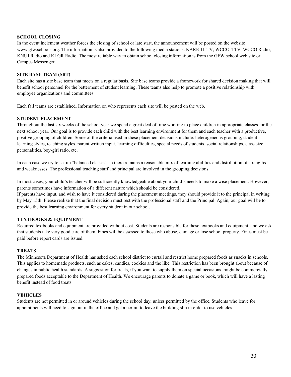#### **SCHOOL CLOSING**

In the event inclement weather forces the closing of school or late start, the announcement will be posted on the website www.gfw.schools.org. The information is also provided to the following media stations: KARE 11-TV, WCCO 4 TV, WCCO Radio, KNUJ Radio and KLGR Radio. The most reliable way to obtain school closing information is from the GFW school web site or Campus Messenger.

#### **SITE BASE TEAM (SBT)**

Each site has a site base team that meets on a regular basis. Site base teams provide a framework for shared decision making that will benefit school personnel for the betterment of student learning. These teams also help to promote a positive relationship with employee organizations and committees.

Each fall teams are established. Information on who represents each site will be posted on the web.

#### **STUDENT PLACEMENT**

Throughout the last six weeks of the school year we spend a great deal of time working to place children in appropriate classes for the next school year. Our goal is to provide each child with the best learning environment for them and each teacher with a productive, positive grouping of children. Some of the criteria used in these placement decisions include: heterogeneous grouping, student learning styles, teaching styles, parent written input, learning difficulties, special needs of students, social relationships, class size, personalities, boy-girl ratio, etc.

In each case we try to set up "balanced classes" so there remains a reasonable mix of learning abilities and distribution of strengths and weaknesses. The professional teaching staff and principal are involved in the grouping decisions.

In most cases, your child's teacher will be sufficiently knowledgeable about your child's needs to make a wise placement. However, parents sometimes have information of a different nature which should be considered.

If parents have input, and wish to have it considered during the placement meetings, they should provide it to the principal in writing by May 15th. Please realize that the final decision must rest with the professional staff and the Principal. Again, our goal will be to provide the best learning environment for every student in our school.

#### **TEXTBOOKS & EQUIPMENT**

Required textbooks and equipment are provided without cost. Students are responsible for these textbooks and equipment, and we ask that students take very good care of them. Fines will be assessed to those who abuse, damage or lose school property. Fines must be paid before report cards are issued.

#### **TREATS**

The Minnesota Department of Health has asked each school district to curtail and restrict home prepared foods as snacks in schools. This applies to homemade products, such as cakes, candies, cookies and the like. This restriction has been brought about because of changes in public health standards. A suggestion for treats, if you want to supply them on special occasions, might be commercially prepared foods acceptable to the Department of Health. We encourage parents to donate a game or book, which will have a lasting benefit instead of food treats.

#### **VEHICLES**

Students are not permitted in or around vehicles during the school day, unless permitted by the office. Students who leave for appointments will need to sign out in the office and get a permit to leave the building slip in order to use vehicles.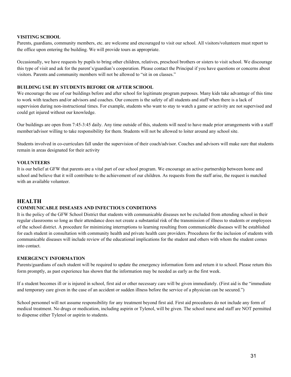#### **VISITING SCHOOL**

Parents, guardians, community members, etc. are welcome and encouraged to visit our school. All visitors/volunteers must report to the office upon entering the building. We will provide tours as appropriate.

Occasionally, we have requests by pupils to bring other children, relatives, preschool brothers or sisters to visit school. We discourage this type of visit and ask for the parent's/guardian's cooperation. Please contact the Principal if you have questions or concerns about visitors. Parents and community members will not be allowed to "sit in on classes."

#### **BUILDING USE BY STUDENTS BEFORE OR AFTER SCHOOL**

We encourage the use of our buildings before and after school for legitimate program purposes. Many kids take advantage of this time to work with teachers and/or advisors and coaches. Our concern is the safety of all students and staff when there is a lack of supervision during non-instructional times. For example, students who want to stay to watch a game or activity are not supervised and could get injured without our knowledge.

Our buildings are open from 7:45-3:45 daily. Any time outside of this, students will need to have made prior arrangements with a staff member/advisor willing to take responsibility for them. Students will not be allowed to loiter around any school site.

Students involved in co-curriculars fall under the supervision of their coach/advisor. Coaches and advisors will make sure that students remain in areas designated for their activity

#### **VOLUNTEERS**

It is our belief at GFW that parents are a vital part of our school program. We encourage an active partnership between home and school and believe that it will contribute to the achievement of our children. As requests from the staff arise, the request is matched with an available volunteer.

#### **HEALTH**

#### **COMMUNICABLE DISEASES AND INFECTIOUS CONDITIONS**

It is the policy of the GFW School District that students with communicable diseases not be excluded from attending school in their regular classrooms so long as their attendance does not create a substantial risk of the transmission of illness to students or employees of the school district. A procedure for minimizing interruptions to learning resulting from communicable diseases will be established for each student in consultation with community health and private health care providers. Procedures for the inclusion of students with communicable diseases will include review of the educational implications for the student and others with whom the student comes into contact.

#### **EMERGENCY INFORMATION**

Parents/guardians of each student will be required to update the emergency information form and return it to school. Please return this form promptly, as past experience has shown that the information may be needed as early as the first week.

If a student becomes ill or is injured in school, first aid or other necessary care will be given immediately. (First aid is the "immediate and temporary care given in the case of an accident or sudden illness before the service of a physician can be secured.")

School personnel will not assume responsibility for any treatment beyond first aid. First aid procedures do not include any form of medical treatment. No drugs or medication, including aspirin or Tylenol, will be given. The school nurse and staff are NOT permitted to dispense either Tylenol or aspirin to students.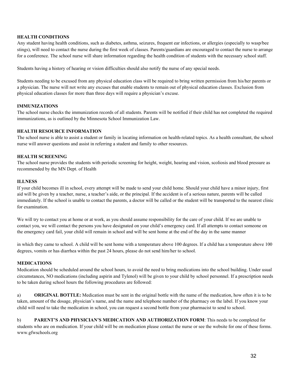#### **HEALTH CONDITIONS**

Any student having health conditions, such as diabetes, asthma, seizures, frequent ear infections, or allergies (especially to wasp/bee stings), will need to contact the nurse during the first week of classes. Parents/guardians are encouraged to contact the nurse to arrange for a conference. The school nurse will share information regarding the health condition of students with the necessary school staff.

Students having a history of hearing or vision difficulties should also notify the nurse of any special needs.

Students needing to be excused from any physical education class will be required to bring written permission from his/her parents or a physician. The nurse will not write any excuses that enable students to remain out of physical education classes. Exclusion from physical education classes for more than three days will require a physician's excuse.

#### **IMMUNIZATIONS**

The school nurse checks the immunization records of all students. Parents will be notified if their child has not completed the required immunizations, as is outlined by the Minnesota School Immunization Law.

#### **HEALTH RESOURCE INFORMATION**

The school nurse is able to assist a student or family in locating information on health-related topics. As a health consultant, the school nurse will answer questions and assist in referring a student and family to other resources.

#### **HEALTH SCREENING**

The school nurse provides the students with periodic screening for height, weight, hearing and vision, scoliosis and blood pressure as recommended by the MN Dept. of Health

#### **ILLNESS**

If your child becomes ill in school, every attempt will be made to send your child home. Should your child have a minor injury, first aid will be given by a teacher, nurse, a teacher's aide, or the principal. If the accident is of a serious nature, parents will be called immediately. If the school is unable to contact the parents, a doctor will be called or the student will be transported to the nearest clinic for examination.

We will try to contact you at home or at work, as you should assume responsibility for the care of your child. If we are unable to contact you, we will contact the persons you have designated on your child's emergency card. If all attempts to contact someone on the emergency card fail, your child will remain in school and will be sent home at the end of the day in the same manner

in which they came to school. A child will be sent home with a temperature above 100 degrees. If a child has a temperature above 100 degrees, vomits or has diarrhea within the past 24 hours, please do not send him/her to school.

#### **MEDICATIONS**

Medication should be scheduled around the school hours, to avoid the need to bring medications into the school building. Under usual circumstances, NO medications (including aspirin and Tylenol) will be given to your child by school personnel. If a prescription needs to be taken during school hours the following procedures are followed:

a) **ORIGINAL BOTTLE:** Medication must be sent in the original bottle with the name of the medication, how often it is to be taken, amount of the dosage, physician's name, and the name and telephone number of the pharmacy on the label. If you know your child will need to take the medication in school, you can request a second bottle from your pharmacist to send to school.

b) **PARENT'S AND PHYSICIAN'S MEDICATION AND AUTHORIZATION FORM**: This needs to be completed for students who are on medication. If your child will be on medication please contact the nurse or see the website for one of these forms. www.gfwschools.org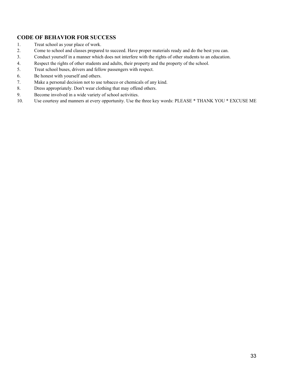#### **CODE OF BEHAVIOR FOR SUCCESS**

- 1. Treat school as your place of work.
- 2. Come to school and classes prepared to succeed. Have proper materials ready and do the best you can.
- 3. Conduct yourself in a manner which does not interfere with the rights of other students to an education.
- 4. Respect the rights of other students and adults, their property and the property of the school.
- 5. Treat school buses, drivers and fellow passengers with respect.
- 6. Be honest with yourself and others.
- 7. Make a personal decision not to use tobacco or chemicals of any kind.
- 8. Dress appropriately. Don't wear clothing that may offend others.
- 9. Become involved in a wide variety of school activities.
- 10. Use courtesy and manners at every opportunity. Use the three key words: PLEASE \* THANK YOU \* EXCUSE ME